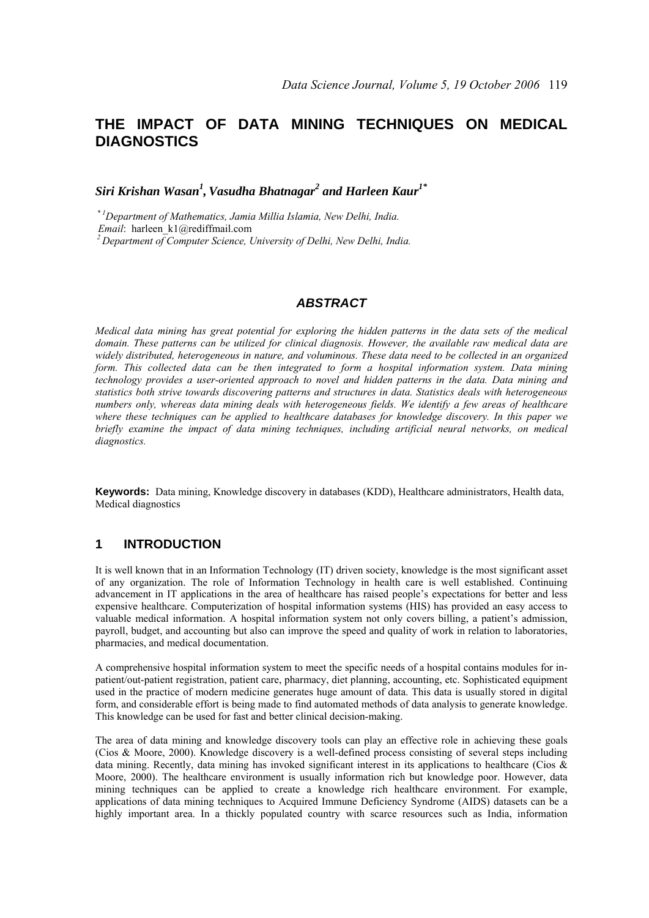# **THE IMPACT OF DATA MINING TECHNIQUES ON MEDICAL DIAGNOSTICS**

 $S$ iri Krishan Wasan<sup>1</sup>, Vasudha Bhatnagar<sup>2</sup> and Harleen Kaur<sup>1\*</sup>

 *\* 1Department of Mathematics, Jamia Millia Islamia, New Delhi, India.*  <sup>2</sup> Department of Computer Science, University of Delhi, New Delhi, India.

#### *ABSTRACT*

*Medical data mining has great potential for exploring the hidden patterns in the data sets of the medical domain. These patterns can be utilized for clinical diagnosis. However, the available raw medical data are widely distributed, heterogeneous in nature, and voluminous. These data need to be collected in an organized form. This collected data can be then integrated to form a hospital information system. Data mining technology provides a user-oriented approach to novel and hidden patterns in the data. Data mining and statistics both strive towards discovering patterns and structures in data. Statistics deals with heterogeneous numbers only, whereas data mining deals with heterogeneous fields. We identify a few areas of healthcare where these techniques can be applied to healthcare databases for knowledge discovery. In this paper we briefly examine the impact of data mining techniques, including artificial neural networks, on medical diagnostics.* 

**Keywords:** Data mining, Knowledge discovery in databases (KDD), Healthcare administrators, Health data, Medical diagnostics

# **1 INTRODUCTION**

It is well known that in an Information Technology (IT) driven society, knowledge is the most significant asset of any organization. The role of Information Technology in health care is well established. Continuing advancement in IT applications in the area of healthcare has raised people's expectations for better and less expensive healthcare. Computerization of hospital information systems (HIS) has provided an easy access to valuable medical information. A hospital information system not only covers billing, a patient's admission, payroll, budget, and accounting but also can improve the speed and quality of work in relation to laboratories, pharmacies, and medical documentation.

A comprehensive hospital information system to meet the specific needs of a hospital contains modules for inpatient/out-patient registration, patient care, pharmacy, diet planning, accounting, etc. Sophisticated equipment used in the practice of modern medicine generates huge amount of data. This data is usually stored in digital form, and considerable effort is being made to find automated methods of data analysis to generate knowledge. This knowledge can be used for fast and better clinical decision-making.

The area of data mining and knowledge discovery tools can play an effective role in achieving these goals (Cios & Moore, 2000). Knowledge discovery is a well-defined process consisting of several steps including data mining. Recently, data mining has invoked significant interest in its applications to healthcare (Cios & Moore, 2000). The healthcare environment is usually information rich but knowledge poor. However, data mining techniques can be applied to create a knowledge rich healthcare environment. For example, applications of data mining techniques to Acquired Immune Deficiency Syndrome (AIDS) datasets can be a highly important area. In a thickly populated country with scarce resources such as India, information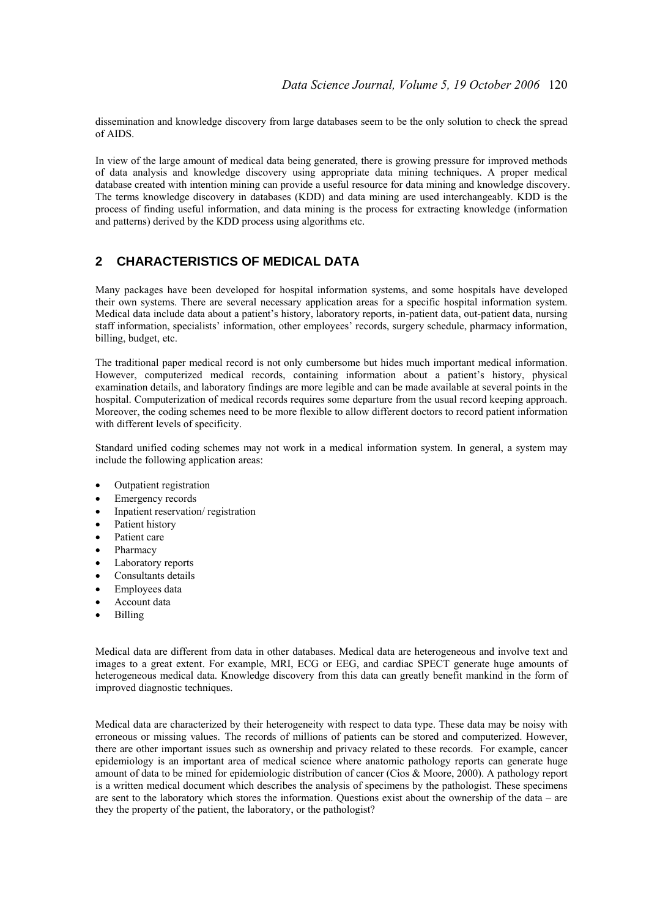dissemination and knowledge discovery from large databases seem to be the only solution to check the spread of AIDS.

In view of the large amount of medical data being generated, there is growing pressure for improved methods of data analysis and knowledge discovery using appropriate data mining techniques. A proper medical database created with intention mining can provide a useful resource for data mining and knowledge discovery. The terms knowledge discovery in databases (KDD) and data mining are used interchangeably. KDD is the process of finding useful information, and data mining is the process for extracting knowledge (information and patterns) derived by the KDD process using algorithms etc.

# **2 CHARACTERISTICS OF MEDICAL DATA**

Many packages have been developed for hospital information systems, and some hospitals have developed their own systems. There are several necessary application areas for a specific hospital information system. Medical data include data about a patient's history, laboratory reports, in-patient data, out-patient data, nursing staff information, specialists' information, other employees' records, surgery schedule, pharmacy information, billing, budget, etc.

The traditional paper medical record is not only cumbersome but hides much important medical information. However, computerized medical records, containing information about a patient's history, physical examination details, and laboratory findings are more legible and can be made available at several points in the hospital. Computerization of medical records requires some departure from the usual record keeping approach. Moreover, the coding schemes need to be more flexible to allow different doctors to record patient information with different levels of specificity.

Standard unified coding schemes may not work in a medical information system. In general, a system may include the following application areas:

- Outpatient registration
- Emergency records
- Inpatient reservation/ registration
- Patient history
- Patient care
- Pharmacy
- Laboratory reports
- Consultants details
- Employees data
- Account data
- Billing

Medical data are different from data in other databases. Medical data are heterogeneous and involve text and images to a great extent. For example, MRI, ECG or EEG, and cardiac SPECT generate huge amounts of heterogeneous medical data. Knowledge discovery from this data can greatly benefit mankind in the form of improved diagnostic techniques.

Medical data are characterized by their heterogeneity with respect to data type. These data may be noisy with erroneous or missing values. The records of millions of patients can be stored and computerized. However, there are other important issues such as ownership and privacy related to these records. For example, cancer epidemiology is an important area of medical science where anatomic pathology reports can generate huge amount of data to be mined for epidemiologic distribution of cancer (Cios & Moore, 2000). A pathology report is a written medical document which describes the analysis of specimens by the pathologist. These specimens are sent to the laboratory which stores the information. Questions exist about the ownership of the data – are they the property of the patient, the laboratory, or the pathologist?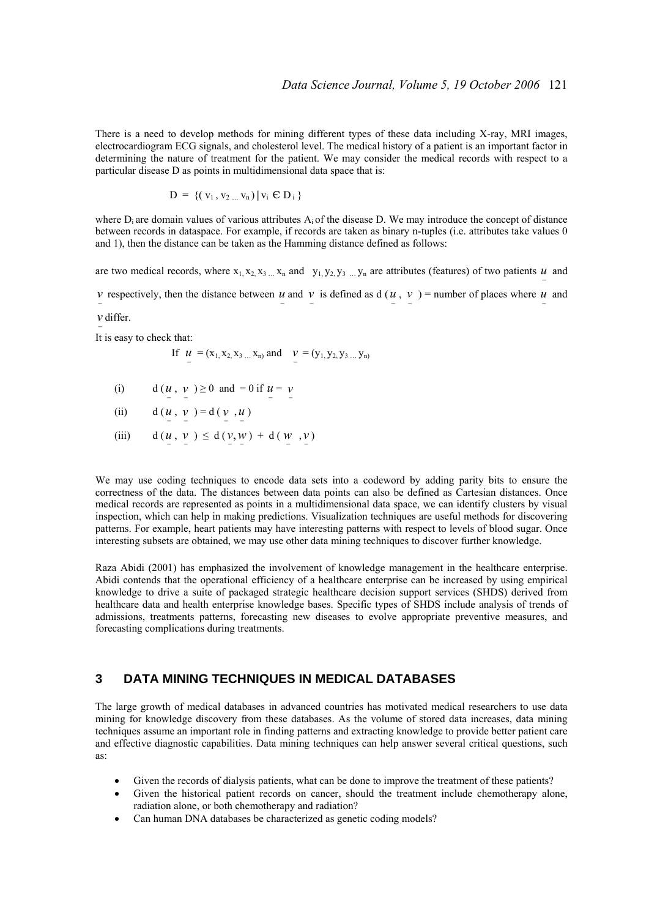There is a need to develop methods for mining different types of these data including X-ray, MRI images, electrocardiogram ECG signals, and cholesterol level. The medical history of a patient is an important factor in determining the nature of treatment for the patient. We may consider the medical records with respect to a particular disease D as points in multidimensional data space that is:

$$
D = \{ (v_1, v_2, ..., v_n) | v_i \in D_i \}
$$

where  $D_i$  are domain values of various attributes  $A_i$  of the disease D. We may introduce the concept of distance between records in dataspace. For example, if records are taken as binary n-tuples (i.e. attributes take values 0 and 1), then the distance can be taken as the Hamming distance defined as follows:

are two medical records, where  $x_1, x_2, x_3, \ldots, x_n$  and  $y_1, y_2, y_3, \ldots, y_n$  are attributes (features) of two patients *u* and −

*v* respectively, then the distance between *u* and *v* is defined as  $d(u, v)$  = number of places where *u* and − − − − − −

*v* differ. −

It is easy to check that:

If 
$$
u = (x_1, x_2, x_3 ... x_n)
$$
 and  $v = (y_1, y_2, y_3 ... y_n)$ 

(i)  $d(u, v) \ge 0$  and = 0 if  $u = v$ 

(ii) 
$$
d(u, v) = d(v, u)
$$

(iii) 
$$
d(u, v) \leq d(v, w) + d(w, v)
$$

We may use coding techniques to encode data sets into a codeword by adding parity bits to ensure the correctness of the data. The distances between data points can also be defined as Cartesian distances. Once medical records are represented as points in a multidimensional data space, we can identify clusters by visual inspection, which can help in making predictions. Visualization techniques are useful methods for discovering patterns. For example, heart patients may have interesting patterns with respect to levels of blood sugar. Once interesting subsets are obtained, we may use other data mining techniques to discover further knowledge.

Raza Abidi (2001) has emphasized the involvement of knowledge management in the healthcare enterprise. Abidi contends that the operational efficiency of a healthcare enterprise can be increased by using empirical knowledge to drive a suite of packaged strategic healthcare decision support services (SHDS) derived from healthcare data and health enterprise knowledge bases. Specific types of SHDS include analysis of trends of admissions, treatments patterns, forecasting new diseases to evolve appropriate preventive measures, and forecasting complications during treatments.

### **3 DATA MINING TECHNIQUES IN MEDICAL DATABASES**

The large growth of medical databases in advanced countries has motivated medical researchers to use data mining for knowledge discovery from these databases. As the volume of stored data increases, data mining techniques assume an important role in finding patterns and extracting knowledge to provide better patient care and effective diagnostic capabilities. Data mining techniques can help answer several critical questions, such as:

- Given the records of dialysis patients, what can be done to improve the treatment of these patients?
- Given the historical patient records on cancer, should the treatment include chemotherapy alone, radiation alone, or both chemotherapy and radiation?
- Can human DNA databases be characterized as genetic coding models?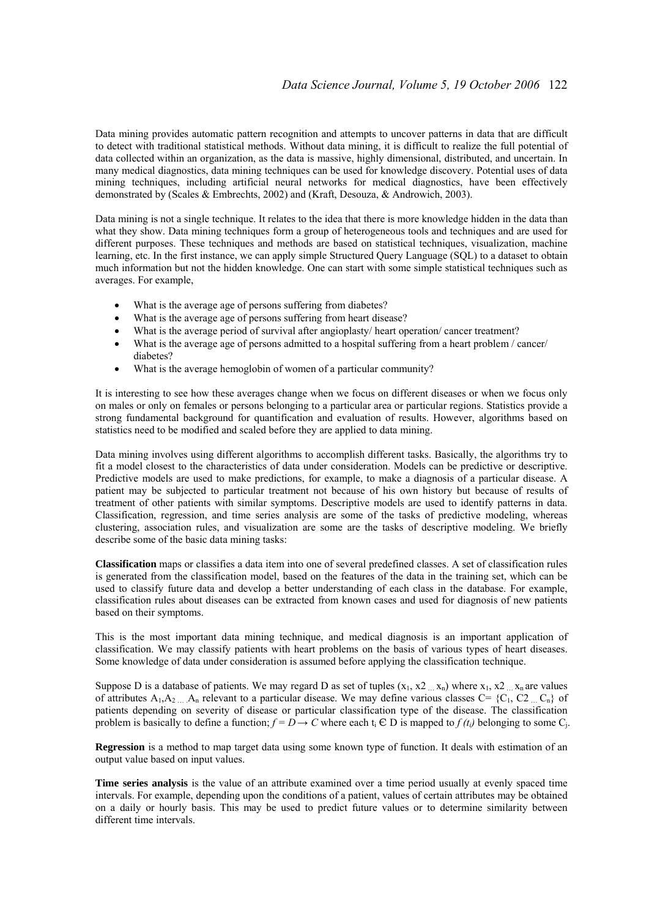Data mining provides automatic pattern recognition and attempts to uncover patterns in data that are difficult to detect with traditional statistical methods. Without data mining, it is difficult to realize the full potential of data collected within an organization, as the data is massive, highly dimensional, distributed, and uncertain. In many medical diagnostics, data mining techniques can be used for knowledge discovery. Potential uses of data mining techniques, including artificial neural networks for medical diagnostics, have been effectively demonstrated by (Scales & Embrechts, 2002) and (Kraft, Desouza, & Androwich, 2003).

Data mining is not a single technique. It relates to the idea that there is more knowledge hidden in the data than what they show. Data mining techniques form a group of heterogeneous tools and techniques and are used for different purposes. These techniques and methods are based on statistical techniques, visualization, machine learning, etc. In the first instance, we can apply simple Structured Query Language (SQL) to a dataset to obtain much information but not the hidden knowledge. One can start with some simple statistical techniques such as averages. For example,

- What is the average age of persons suffering from diabetes?
- What is the average age of persons suffering from heart disease?
- What is the average period of survival after angioplasty/ heart operation/ cancer treatment?
- What is the average age of persons admitted to a hospital suffering from a heart problem / cancer/ diabetes?
- What is the average hemoglobin of women of a particular community?

It is interesting to see how these averages change when we focus on different diseases or when we focus only on males or only on females or persons belonging to a particular area or particular regions. Statistics provide a strong fundamental background for quantification and evaluation of results. However, algorithms based on statistics need to be modified and scaled before they are applied to data mining.

Data mining involves using different algorithms to accomplish different tasks. Basically, the algorithms try to fit a model closest to the characteristics of data under consideration. Models can be predictive or descriptive. Predictive models are used to make predictions, for example, to make a diagnosis of a particular disease. A patient may be subjected to particular treatment not because of his own history but because of results of treatment of other patients with similar symptoms. Descriptive models are used to identify patterns in data. Classification, regression, and time series analysis are some of the tasks of predictive modeling, whereas clustering, association rules, and visualization are some are the tasks of descriptive modeling. We briefly describe some of the basic data mining tasks:

**Classification** maps or classifies a data item into one of several predefined classes. A set of classification rules is generated from the classification model, based on the features of the data in the training set, which can be used to classify future data and develop a better understanding of each class in the database. For example, classification rules about diseases can be extracted from known cases and used for diagnosis of new patients based on their symptoms.

This is the most important data mining technique, and medical diagnosis is an important application of classification. We may classify patients with heart problems on the basis of various types of heart diseases. Some knowledge of data under consideration is assumed before applying the classification technique.

Suppose D is a database of patients. We may regard D as set of tuples  $(x_1, x_2, ..., x_n)$  where  $x_1, x_2, ..., x_n$  are values of attributes  $A_1, A_2$  … A<sub>n</sub> relevant to a particular disease. We may define various classes C= {C<sub>1</sub>, C2 c<sub>n</sub>} of patients depending on severity of disease or particular classification type of the disease. The classification problem is basically to define a function;  $f = D \rightarrow C$  where each  $t_i \in D$  is mapped to  $f(t_i)$  belonging to some C<sub>i</sub>.

**Regression** is a method to map target data using some known type of function. It deals with estimation of an output value based on input values.

**Time series analysis** is the value of an attribute examined over a time period usually at evenly spaced time intervals. For example, depending upon the conditions of a patient, values of certain attributes may be obtained on a daily or hourly basis. This may be used to predict future values or to determine similarity between different time intervals.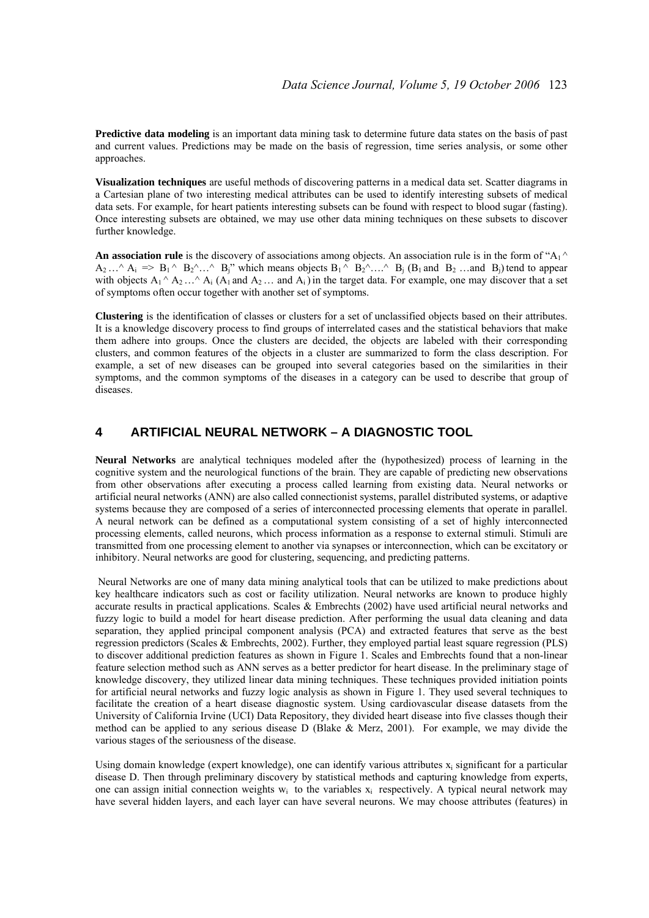**Predictive data modeling** is an important data mining task to determine future data states on the basis of past and current values. Predictions may be made on the basis of regression, time series analysis, or some other approaches.

**Visualization techniques** are useful methods of discovering patterns in a medical data set. Scatter diagrams in a Cartesian plane of two interesting medical attributes can be used to identify interesting subsets of medical data sets. For example, for heart patients interesting subsets can be found with respect to blood sugar (fasting). Once interesting subsets are obtained, we may use other data mining techniques on these subsets to discover further knowledge.

An association rule is the discovery of associations among objects. An association rule is in the form of "A<sub>1</sub> ^  $A_2 ...^A A_i \Rightarrow B_1^A \quad B_2^A ...^A \quad B_i^B$  which means objects  $B_1 \stackrel{\sim}{\sim} B_2 \stackrel{\sim}{\sim} ...^A \quad B_i \ (B_1 \text{ and } B_2 \dots \text{ and } B_i)$  tend to appear with objects  $A_1 \wedge A_2 ... \wedge A_i$  ( $A_1$  and  $A_2 ...$  and  $A_i$ ) in the target data. For example, one may discover that a set of symptoms often occur together with another set of symptoms.

**Clustering** is the identification of classes or clusters for a set of unclassified objects based on their attributes. It is a knowledge discovery process to find groups of interrelated cases and the statistical behaviors that make them adhere into groups. Once the clusters are decided, the objects are labeled with their corresponding clusters, and common features of the objects in a cluster are summarized to form the class description. For example, a set of new diseases can be grouped into several categories based on the similarities in their symptoms, and the common symptoms of the diseases in a category can be used to describe that group of diseases.

#### **4 ARTIFICIAL NEURAL NETWORK – A DIAGNOSTIC TOOL**

**Neural Networks** are analytical techniques modeled after the (hypothesized) process of learning in the cognitive system and the neurological functions of the brain. They are capable of predicting new observations from other observations after executing a process called learning from existing data. Neural networks or artificial neural networks (ANN) are also called connectionist systems, parallel distributed systems, or adaptive systems because they are composed of a series of interconnected processing elements that operate in parallel. A neural network can be defined as a computational system consisting of a set of highly interconnected processing elements, called neurons, which process information as a response to external stimuli. Stimuli are transmitted from one processing element to another via synapses or interconnection, which can be excitatory or inhibitory. Neural networks are good for clustering, sequencing, and predicting patterns.

 Neural Networks are one of many data mining analytical tools that can be utilized to make predictions about key healthcare indicators such as cost or facility utilization. Neural networks are known to produce highly accurate results in practical applications. Scales & Embrechts (2002) have used artificial neural networks and fuzzy logic to build a model for heart disease prediction. After performing the usual data cleaning and data separation, they applied principal component analysis (PCA) and extracted features that serve as the best regression predictors (Scales & Embrechts, 2002). Further, they employed partial least square regression (PLS) to discover additional prediction features as shown in Figure 1. Scales and Embrechts found that a non-linear feature selection method such as ANN serves as a better predictor for heart disease. In the preliminary stage of knowledge discovery, they utilized linear data mining techniques. These techniques provided initiation points for artificial neural networks and fuzzy logic analysis as shown in Figure 1. They used several techniques to facilitate the creation of a heart disease diagnostic system. Using cardiovascular disease datasets from the University of California Irvine (UCI) Data Repository, they divided heart disease into five classes though their method can be applied to any serious disease D (Blake & Merz, 2001). For example, we may divide the various stages of the seriousness of the disease.

Using domain knowledge (expert knowledge), one can identify various attributes  $x_i$  significant for a particular disease D. Then through preliminary discovery by statistical methods and capturing knowledge from experts, one can assign initial connection weights  $w_i$  to the variables  $x_i$  respectively. A typical neural network may have several hidden layers, and each layer can have several neurons. We may choose attributes (features) in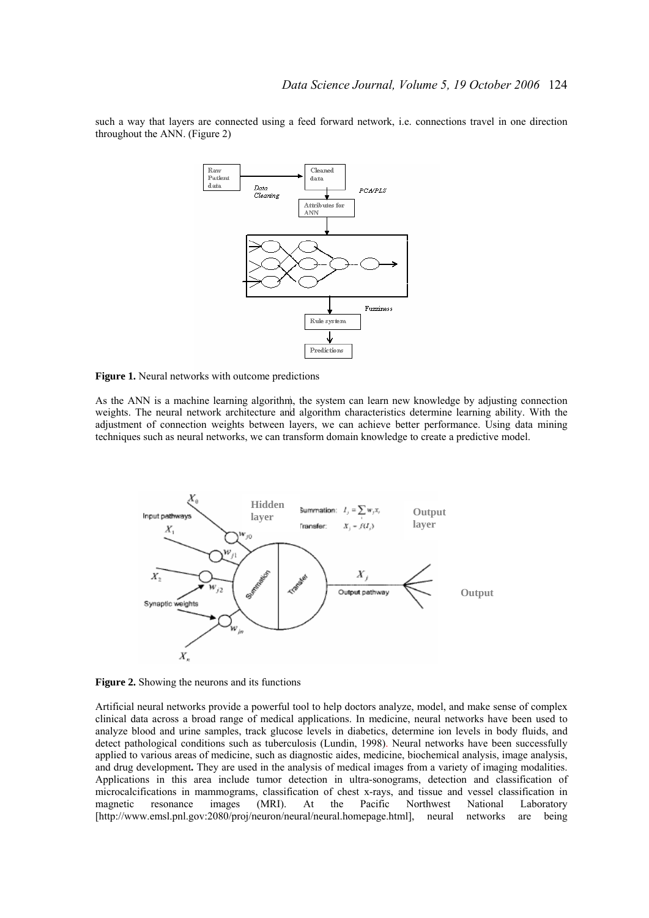such a way that layers are connected using a feed forward network, i.e. connections travel in one direction throughout the ANN. (Figure 2)



**Figure 1.** Neural networks with outcome predictions

As the ANN is a machine learning algorithm, the system can learn new knowledge by adjusting connection weights. The neural network architecture and algorithm characteristics determine learning ability. With the adjustment of connection weights between layers, we can achieve better performance. Using data mining techniques such as neural networks, we can transform domain knowledge to create a predictive model.



**Figure 2.** Showing the neurons and its functions

Artificial neural networks provide a powerful tool to help doctors analyze, model, and make sense of complex clinical data across a broad range of medical applications. In medicine, neural networks have been used to analyze blood and urine samples, track glucose levels in diabetics, determine ion levels in body fluids, and detect pathological conditions such as tuberculosis (Lundin, 1998). Neural networks have been successfully applied to various areas of medicine, such as diagnostic aides, medicine, biochemical analysis, image analysis, and drug development**.** They are used in the analysis of medical images from a variety of imaging modalities. Applications in this area include tumor detection in ultra-sonograms, detection and classification of microcalcifications in mammograms, classification of chest x-rays, and tissue and vessel classification in magnetic resonance images (MRI). At the Pacific Northwest National Laboratory [http://www.emsl.pnl.gov:2080/proj/neuron/neural/neural.homepage.html], neural networks are being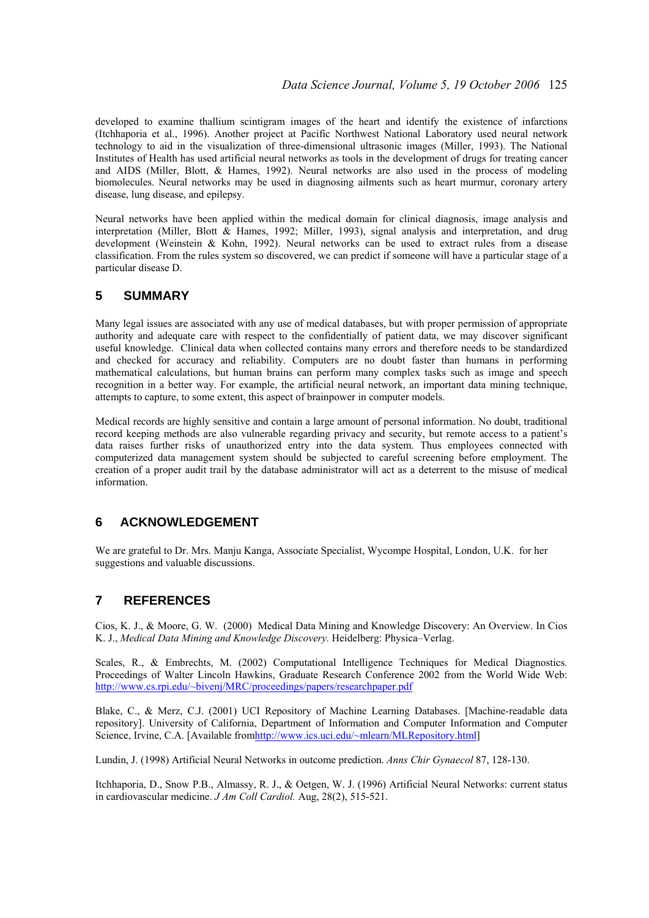developed to examine thallium scintigram images of the heart and identify the existence of infarctions (Itchhaporia et al., 1996). Another project at Pacific Northwest National Laboratory used neural network technology to aid in the visualization of three-dimensional ultrasonic images (Miller, 1993). The National Institutes of Health has used artificial neural networks as tools in the development of drugs for treating cancer and AIDS (Miller, Blott, & Hames, 1992). Neural networks are also used in the process of modeling biomolecules. Neural networks may be used in diagnosing ailments such as heart murmur, coronary artery disease, lung disease, and epilepsy.

Neural networks have been applied within the medical domain for clinical diagnosis, image analysis and interpretation (Miller, Blott & Hames, 1992; Miller, 1993), signal analysis and interpretation, and drug development (Weinstein & Kohn, 1992). Neural networks can be used to extract rules from a disease classification. From the rules system so discovered, we can predict if someone will have a particular stage of a particular disease D.

# **5 SUMMARY**

Many legal issues are associated with any use of medical databases, but with proper permission of appropriate authority and adequate care with respect to the confidentially of patient data, we may discover significant useful knowledge. Clinical data when collected contains many errors and therefore needs to be standardized and checked for accuracy and reliability. Computers are no doubt faster than humans in performing mathematical calculations, but human brains can perform many complex tasks such as image and speech recognition in a better way. For example, the artificial neural network, an important data mining technique, attempts to capture, to some extent, this aspect of brainpower in computer models.

Medical records are highly sensitive and contain a large amount of personal information. No doubt, traditional record keeping methods are also vulnerable regarding privacy and security, but remote access to a patient's data raises further risks of unauthorized entry into the data system. Thus employees connected with computerized data management system should be subjected to careful screening before employment. The creation of a proper audit trail by the database administrator will act as a deterrent to the misuse of medical information.

# **6 ACKNOWLEDGEMENT**

We are grateful to Dr. Mrs. Manju Kanga, Associate Specialist, Wycompe Hospital, London, U.K. for her suggestions and valuable discussions.

# **7 REFERENCES**

Cios, K. J., & Moore, G. W. (2000) Medical Data Mining and Knowledge Discovery: An Overview. In Cios K. J., *Medical Data Mining and Knowledge Discovery.* Heidelberg: Physica–Verlag.

Scales, R., & Embrechts, M. (2002) Computational Intelligence Techniques for Medical Diagnostics*.*  Proceedings of Walter Lincoln Hawkins, Graduate Research Conference 2002 from the World Wide Web: http://www.cs.rpi.edu/~bivenj/MRC/proceedings/papers/researchpaper.pdf

Blake, C., & Merz, C.J. (2001) UCI Repository of Machine Learning Databases. [Machine-readable data repository]. University of California, Department of Information and Computer Information and Computer Science, Irvine, C.A. [Available fromhttp://www.ics.uci.edu/~mlearn/MLRepository.html]

Lundin, J. (1998) Artificial Neural Networks in outcome prediction. *Anns Chir Gynaecol* 87, 128-130.

Itchhaporia, D., Snow P.B., Almassy, R. J., & Oetgen, W. J. (1996) Artificial Neural Networks: current status in cardiovascular medicine. *J Am Coll Cardiol.* Aug, 28(2), 515-521.